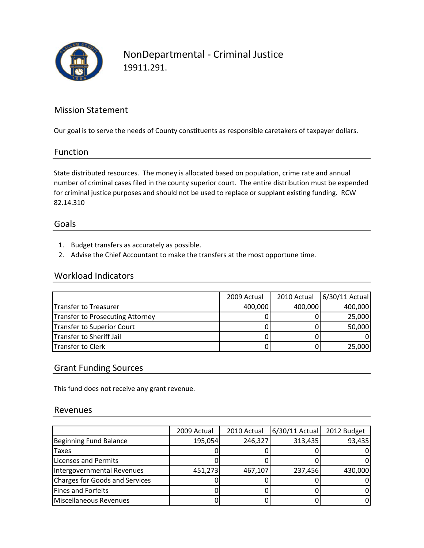

## NonDepartmental ‐ Criminal Justice 19911.291.

### Mission Statement

Our goal is to serve the needs of County constituents as responsible caretakers of taxpayer dollars.

#### Function

State distributed resources. The money is allocated based on population, crime rate and annual number of criminal cases filed in the county superior court. The entire distribution must be expended for criminal justice purposes and should not be used to replace or supplant existing funding. RCW 82.14.310

### Goals

- 1. Budget transfers as accurately as possible.
- 2. Advise the Chief Accountant to make the transfers at the most opportune time.

#### Workload Indicators

|                                  | 2009 Actual | 2010 Actual | 6/30/11 Actual |
|----------------------------------|-------------|-------------|----------------|
| Transfer to Treasurer            | 400,000     | 400,000     | 400,000        |
| Transfer to Prosecuting Attorney |             |             | 25,000         |
| Transfer to Superior Court       |             |             | 50,000         |
| Transfer to Sheriff Jail         |             |             |                |
| <b>Transfer to Clerk</b>         |             |             | 25,000         |

### Grant Funding Sources

This fund does not receive any grant revenue.

#### Revenues

|                                | 2009 Actual | 2010 Actual | $6/30/11$ Actual | 2012 Budget |
|--------------------------------|-------------|-------------|------------------|-------------|
| Beginning Fund Balance         | 195,054     | 246,327     | 313,435          | 93,435      |
| <b>Taxes</b>                   |             |             |                  | 01          |
| <b>Licenses and Permits</b>    |             |             |                  | ΩI          |
| Intergovernmental Revenues     | 451,273     | 467,107     | 237,456          | 430,000     |
| Charges for Goods and Services |             |             |                  | 01          |
| Fines and Forfeits             |             |             |                  | ΩI          |
| Miscellaneous Revenues         |             |             |                  | 01          |